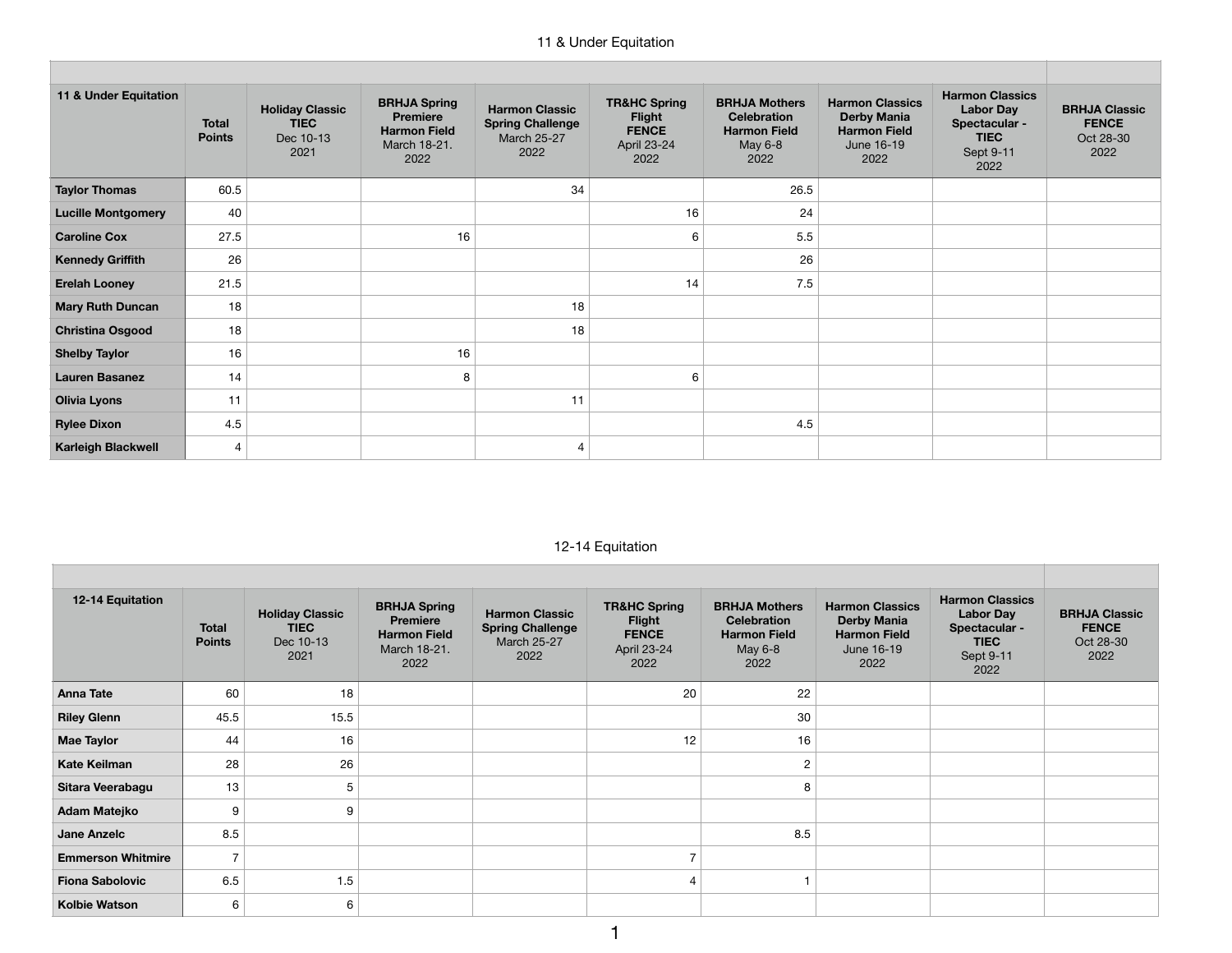## 11 & Under Equitation

| 11 & Under Equitation     | <b>Total</b><br><b>Points</b> | <b>Holiday Classic</b><br><b>TIEC</b><br>Dec 10-13<br>2021 | <b>BRHJA Spring</b><br><b>Premiere</b><br><b>Harmon Field</b><br>March 18-21.<br>2022 | <b>Harmon Classic</b><br><b>Spring Challenge</b><br><b>March 25-27</b><br>2022 | <b>TR&amp;HC Spring</b><br><b>Flight</b><br><b>FENCE</b><br>April 23-24<br>2022 | <b>BRHJA Mothers</b><br><b>Celebration</b><br><b>Harmon Field</b><br>May 6-8<br>2022 | <b>Harmon Classics</b><br><b>Derby Mania</b><br><b>Harmon Field</b><br>June 16-19<br>2022 | <b>Harmon Classics</b><br><b>Labor Day</b><br>Spectacular -<br><b>TIEC</b><br>Sept 9-11<br>2022 | <b>BRHJA Classic</b><br><b>FENCE</b><br>Oct 28-30<br>2022 |
|---------------------------|-------------------------------|------------------------------------------------------------|---------------------------------------------------------------------------------------|--------------------------------------------------------------------------------|---------------------------------------------------------------------------------|--------------------------------------------------------------------------------------|-------------------------------------------------------------------------------------------|-------------------------------------------------------------------------------------------------|-----------------------------------------------------------|
| <b>Taylor Thomas</b>      | 60.5                          |                                                            |                                                                                       | 34                                                                             |                                                                                 | 26.5                                                                                 |                                                                                           |                                                                                                 |                                                           |
| <b>Lucille Montgomery</b> | 40                            |                                                            |                                                                                       |                                                                                | 16                                                                              | 24                                                                                   |                                                                                           |                                                                                                 |                                                           |
| <b>Caroline Cox</b>       | 27.5                          |                                                            | 16                                                                                    |                                                                                | 6                                                                               | 5.5                                                                                  |                                                                                           |                                                                                                 |                                                           |
| <b>Kennedy Griffith</b>   | 26                            |                                                            |                                                                                       |                                                                                |                                                                                 | 26                                                                                   |                                                                                           |                                                                                                 |                                                           |
| <b>Erelah Looney</b>      | 21.5                          |                                                            |                                                                                       |                                                                                | 14                                                                              | 7.5                                                                                  |                                                                                           |                                                                                                 |                                                           |
| <b>Mary Ruth Duncan</b>   | 18                            |                                                            |                                                                                       | 18                                                                             |                                                                                 |                                                                                      |                                                                                           |                                                                                                 |                                                           |
| <b>Christina Osgood</b>   | 18                            |                                                            |                                                                                       | 18                                                                             |                                                                                 |                                                                                      |                                                                                           |                                                                                                 |                                                           |
| <b>Shelby Taylor</b>      | 16                            |                                                            | 16                                                                                    |                                                                                |                                                                                 |                                                                                      |                                                                                           |                                                                                                 |                                                           |
| <b>Lauren Basanez</b>     | 14                            |                                                            | 8                                                                                     |                                                                                | 6                                                                               |                                                                                      |                                                                                           |                                                                                                 |                                                           |
| <b>Olivia Lyons</b>       | 11                            |                                                            |                                                                                       | 11                                                                             |                                                                                 |                                                                                      |                                                                                           |                                                                                                 |                                                           |
| <b>Rylee Dixon</b>        | 4.5                           |                                                            |                                                                                       |                                                                                |                                                                                 | 4.5                                                                                  |                                                                                           |                                                                                                 |                                                           |
| <b>Karleigh Blackwell</b> | $\overline{4}$                |                                                            |                                                                                       | 4                                                                              |                                                                                 |                                                                                      |                                                                                           |                                                                                                 |                                                           |

## 12-14 Equitation

| 12-14 Equitation         | <b>Total</b><br><b>Points</b> | <b>Holiday Classic</b><br><b>TIEC</b><br>Dec 10-13<br>2021 | <b>BRHJA Spring</b><br><b>Premiere</b><br><b>Harmon Field</b><br>March 18-21.<br>2022 | <b>Harmon Classic</b><br><b>Spring Challenge</b><br><b>March 25-27</b><br>2022 | <b>TR&amp;HC Spring</b><br><b>Flight</b><br><b>FENCE</b><br>April 23-24<br>2022 | <b>BRHJA Mothers</b><br><b>Celebration</b><br><b>Harmon Field</b><br>May 6-8<br>2022 | <b>Harmon Classics</b><br><b>Derby Mania</b><br><b>Harmon Field</b><br>June 16-19<br>2022 | <b>Harmon Classics</b><br><b>Labor Day</b><br>Spectacular -<br><b>TIEC</b><br>Sept 9-11<br>2022 | <b>BRHJA Classic</b><br><b>FENCE</b><br>Oct 28-30<br>2022 |
|--------------------------|-------------------------------|------------------------------------------------------------|---------------------------------------------------------------------------------------|--------------------------------------------------------------------------------|---------------------------------------------------------------------------------|--------------------------------------------------------------------------------------|-------------------------------------------------------------------------------------------|-------------------------------------------------------------------------------------------------|-----------------------------------------------------------|
| <b>Anna Tate</b>         | 60                            | 18                                                         |                                                                                       |                                                                                | 20                                                                              | 22                                                                                   |                                                                                           |                                                                                                 |                                                           |
| <b>Riley Glenn</b>       | 45.5                          | 15.5                                                       |                                                                                       |                                                                                |                                                                                 | 30                                                                                   |                                                                                           |                                                                                                 |                                                           |
| <b>Mae Taylor</b>        | 44                            | 16                                                         |                                                                                       |                                                                                | 12                                                                              | 16                                                                                   |                                                                                           |                                                                                                 |                                                           |
| <b>Kate Keilman</b>      | 28                            | 26                                                         |                                                                                       |                                                                                |                                                                                 | $\overline{c}$                                                                       |                                                                                           |                                                                                                 |                                                           |
| Sitara Veerabagu         | 13                            | 5                                                          |                                                                                       |                                                                                |                                                                                 | 8                                                                                    |                                                                                           |                                                                                                 |                                                           |
| Adam Matejko             | 9                             | 9                                                          |                                                                                       |                                                                                |                                                                                 |                                                                                      |                                                                                           |                                                                                                 |                                                           |
| Jane Anzelc              | 8.5                           |                                                            |                                                                                       |                                                                                |                                                                                 | 8.5                                                                                  |                                                                                           |                                                                                                 |                                                           |
| <b>Emmerson Whitmire</b> | $\overline{7}$                |                                                            |                                                                                       |                                                                                |                                                                                 |                                                                                      |                                                                                           |                                                                                                 |                                                           |
| <b>Fiona Sabolovic</b>   | 6.5                           | 1.5                                                        |                                                                                       |                                                                                |                                                                                 |                                                                                      |                                                                                           |                                                                                                 |                                                           |
| <b>Kolbie Watson</b>     | 6                             | 6                                                          |                                                                                       |                                                                                |                                                                                 |                                                                                      |                                                                                           |                                                                                                 |                                                           |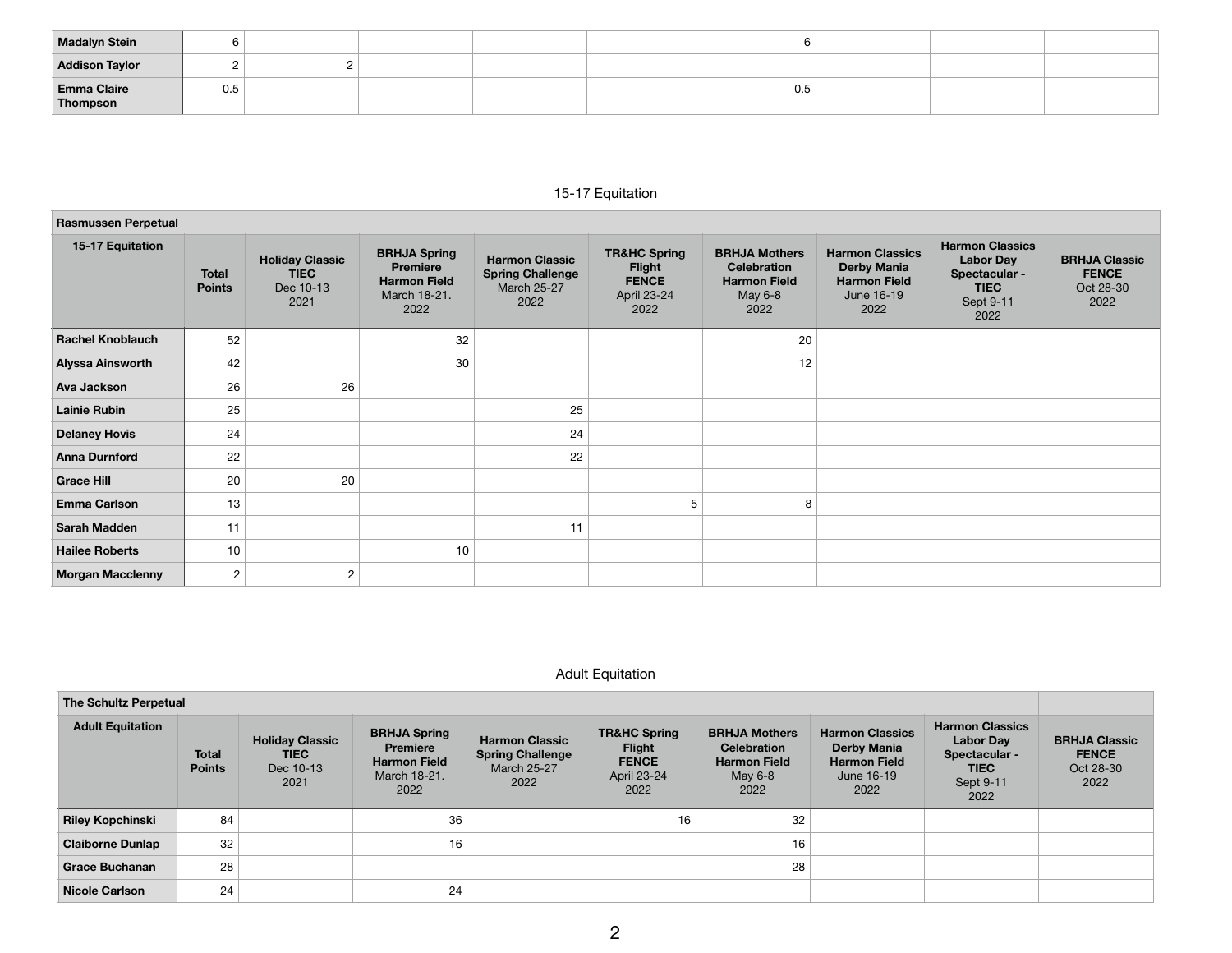| <b>Madalyn Stein</b>           | υ   |  |  |     |  |  |
|--------------------------------|-----|--|--|-----|--|--|
| <b>Addison Taylor</b>          |     |  |  |     |  |  |
| <b>Emma Claire</b><br>Thompson | 0.5 |  |  | 0.5 |  |  |

## 15-17 Equitation

| <b>Rasmussen Perpetual</b> |                               |                                                            |                                                                                       |                                                                         |                                                                                 |                                                                                      |                                                                                           |                                                                                                 |                                                           |  |  |
|----------------------------|-------------------------------|------------------------------------------------------------|---------------------------------------------------------------------------------------|-------------------------------------------------------------------------|---------------------------------------------------------------------------------|--------------------------------------------------------------------------------------|-------------------------------------------------------------------------------------------|-------------------------------------------------------------------------------------------------|-----------------------------------------------------------|--|--|
| 15-17 Equitation           | <b>Total</b><br><b>Points</b> | <b>Holiday Classic</b><br><b>TIEC</b><br>Dec 10-13<br>2021 | <b>BRHJA Spring</b><br><b>Premiere</b><br><b>Harmon Field</b><br>March 18-21.<br>2022 | <b>Harmon Classic</b><br><b>Spring Challenge</b><br>March 25-27<br>2022 | <b>TR&amp;HC Spring</b><br><b>Flight</b><br><b>FENCE</b><br>April 23-24<br>2022 | <b>BRHJA Mothers</b><br><b>Celebration</b><br><b>Harmon Field</b><br>May 6-8<br>2022 | <b>Harmon Classics</b><br><b>Derby Mania</b><br><b>Harmon Field</b><br>June 16-19<br>2022 | <b>Harmon Classics</b><br><b>Labor Day</b><br>Spectacular -<br><b>TIEC</b><br>Sept 9-11<br>2022 | <b>BRHJA Classic</b><br><b>FENCE</b><br>Oct 28-30<br>2022 |  |  |
| <b>Rachel Knoblauch</b>    | 52                            |                                                            | 32                                                                                    |                                                                         |                                                                                 | 20                                                                                   |                                                                                           |                                                                                                 |                                                           |  |  |
| Alyssa Ainsworth           | 42                            |                                                            | 30                                                                                    |                                                                         |                                                                                 | 12                                                                                   |                                                                                           |                                                                                                 |                                                           |  |  |
| Ava Jackson                | 26                            | 26                                                         |                                                                                       |                                                                         |                                                                                 |                                                                                      |                                                                                           |                                                                                                 |                                                           |  |  |
| <b>Lainie Rubin</b>        | 25                            |                                                            |                                                                                       | 25                                                                      |                                                                                 |                                                                                      |                                                                                           |                                                                                                 |                                                           |  |  |
| <b>Delaney Hovis</b>       | 24                            |                                                            |                                                                                       | 24                                                                      |                                                                                 |                                                                                      |                                                                                           |                                                                                                 |                                                           |  |  |
| <b>Anna Durnford</b>       | 22                            |                                                            |                                                                                       | 22                                                                      |                                                                                 |                                                                                      |                                                                                           |                                                                                                 |                                                           |  |  |
| <b>Grace Hill</b>          | 20                            | 20                                                         |                                                                                       |                                                                         |                                                                                 |                                                                                      |                                                                                           |                                                                                                 |                                                           |  |  |
| <b>Emma Carlson</b>        | 13                            |                                                            |                                                                                       |                                                                         | 5                                                                               | 8                                                                                    |                                                                                           |                                                                                                 |                                                           |  |  |
| <b>Sarah Madden</b>        | 11                            |                                                            |                                                                                       | 11                                                                      |                                                                                 |                                                                                      |                                                                                           |                                                                                                 |                                                           |  |  |
| <b>Hailee Roberts</b>      | 10                            |                                                            | 10                                                                                    |                                                                         |                                                                                 |                                                                                      |                                                                                           |                                                                                                 |                                                           |  |  |
| <b>Morgan Macclenny</b>    | 2                             | 2                                                          |                                                                                       |                                                                         |                                                                                 |                                                                                      |                                                                                           |                                                                                                 |                                                           |  |  |

## Adult Equitation

| The Schultz Perpetual   |                               |                                                     |                                                                                       |                                                                         |                                                                                 |                                                                                      |                                                                                           |                                                                                                 |                                                           |  |  |
|-------------------------|-------------------------------|-----------------------------------------------------|---------------------------------------------------------------------------------------|-------------------------------------------------------------------------|---------------------------------------------------------------------------------|--------------------------------------------------------------------------------------|-------------------------------------------------------------------------------------------|-------------------------------------------------------------------------------------------------|-----------------------------------------------------------|--|--|
| <b>Adult Equitation</b> | <b>Total</b><br><b>Points</b> | <b>Holiday Classic</b><br>TIEC<br>Dec 10-13<br>2021 | <b>BRHJA Spring</b><br><b>Premiere</b><br><b>Harmon Field</b><br>March 18-21.<br>2022 | <b>Harmon Classic</b><br><b>Spring Challenge</b><br>March 25-27<br>2022 | <b>TR&amp;HC Spring</b><br><b>Flight</b><br><b>FENCE</b><br>April 23-24<br>2022 | <b>BRHJA Mothers</b><br><b>Celebration</b><br><b>Harmon Field</b><br>May 6-8<br>2022 | <b>Harmon Classics</b><br><b>Derby Mania</b><br><b>Harmon Field</b><br>June 16-19<br>2022 | <b>Harmon Classics</b><br><b>Labor Day</b><br>Spectacular -<br><b>TIEC</b><br>Sept 9-11<br>2022 | <b>BRHJA Classic</b><br><b>FENCE</b><br>Oct 28-30<br>2022 |  |  |
| <b>Riley Kopchinski</b> | 84                            |                                                     | 36                                                                                    |                                                                         | 16                                                                              | 32                                                                                   |                                                                                           |                                                                                                 |                                                           |  |  |
| <b>Claiborne Dunlap</b> | 32                            |                                                     | 16                                                                                    |                                                                         |                                                                                 | 16                                                                                   |                                                                                           |                                                                                                 |                                                           |  |  |
| <b>Grace Buchanan</b>   | 28                            |                                                     |                                                                                       |                                                                         |                                                                                 | 28                                                                                   |                                                                                           |                                                                                                 |                                                           |  |  |
| <b>Nicole Carlson</b>   | 24                            |                                                     | 24                                                                                    |                                                                         |                                                                                 |                                                                                      |                                                                                           |                                                                                                 |                                                           |  |  |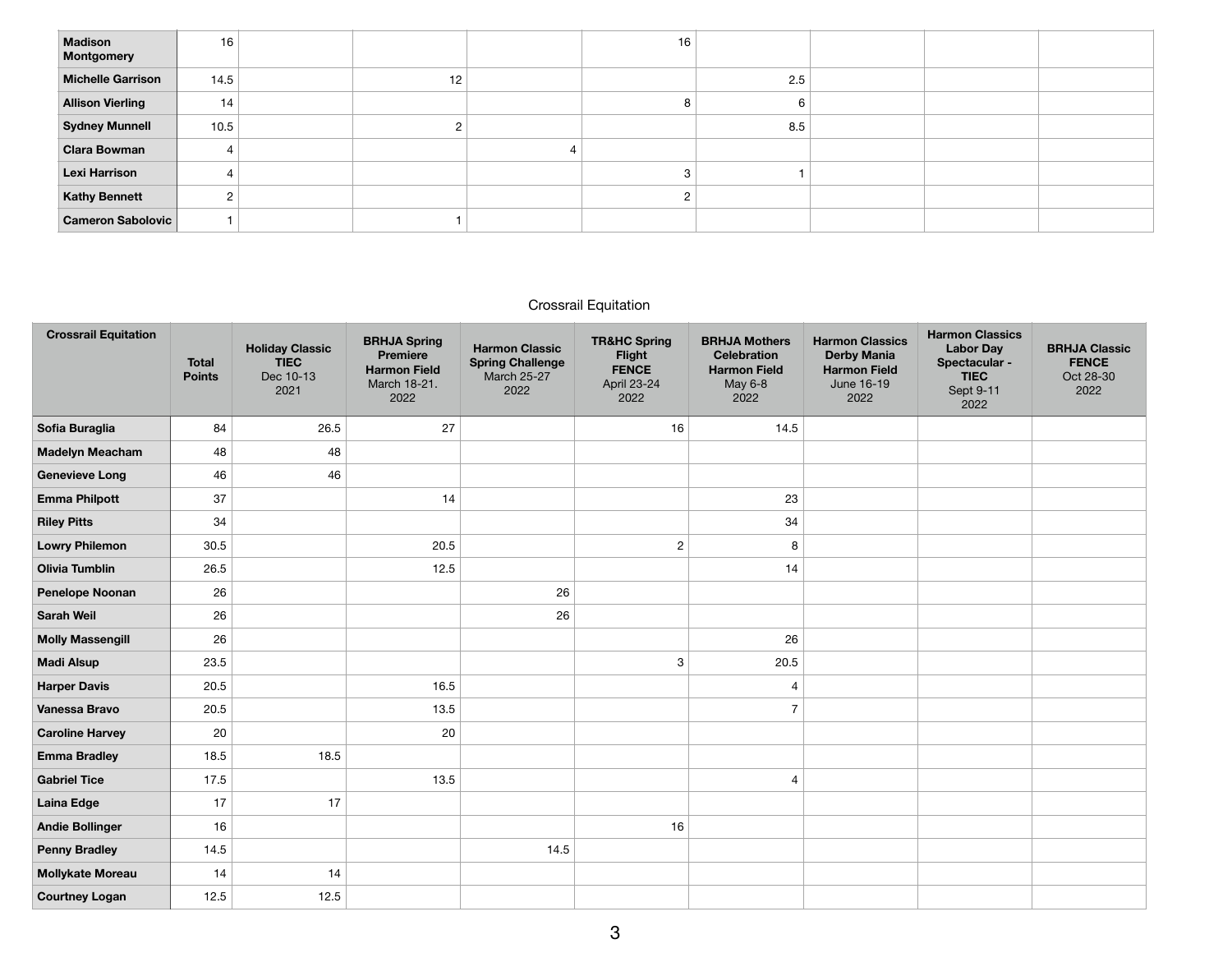| <b>Madison</b><br>Montgomery | 16   |    | 16 |     |  |  |
|------------------------------|------|----|----|-----|--|--|
| <b>Michelle Garrison</b>     | 14.5 | 12 |    | 2.5 |  |  |
| <b>Allison Vierling</b>      | 14   |    | ö  | h   |  |  |
| <b>Sydney Munnell</b>        | 10.5 |    |    | 8.5 |  |  |
| <b>Clara Bowman</b>          |      |    |    |     |  |  |
| Lexi Harrison                |      |    |    |     |  |  |
| <b>Kathy Bennett</b>         | 2    |    |    |     |  |  |
| <b>Cameron Sabolovic</b>     |      |    |    |     |  |  |

## Crossrail Equitation

| <b>Crossrail Equitation</b> | <b>Total</b><br><b>Points</b> | <b>Holiday Classic</b><br><b>TIEC</b><br>Dec 10-13<br>2021 | <b>BRHJA Spring</b><br><b>Premiere</b><br><b>Harmon Field</b><br>March 18-21.<br>2022 | <b>Harmon Classic</b><br><b>Spring Challenge</b><br><b>March 25-27</b><br>2022 | <b>TR&amp;HC Spring</b><br>Flight<br><b>FENCE</b><br>April 23-24<br>2022 | <b>BRHJA Mothers</b><br><b>Celebration</b><br><b>Harmon Field</b><br>May 6-8<br>2022 | <b>Harmon Classics</b><br><b>Derby Mania</b><br><b>Harmon Field</b><br>June 16-19<br>2022 | <b>Harmon Classics</b><br><b>Labor Day</b><br>Spectacular -<br><b>TIEC</b><br>Sept 9-11<br>2022 | <b>BRHJA Classic</b><br><b>FENCE</b><br>Oct 28-30<br>2022 |
|-----------------------------|-------------------------------|------------------------------------------------------------|---------------------------------------------------------------------------------------|--------------------------------------------------------------------------------|--------------------------------------------------------------------------|--------------------------------------------------------------------------------------|-------------------------------------------------------------------------------------------|-------------------------------------------------------------------------------------------------|-----------------------------------------------------------|
| Sofia Buraglia              | 84                            | 26.5                                                       | 27                                                                                    |                                                                                | 16                                                                       | 14.5                                                                                 |                                                                                           |                                                                                                 |                                                           |
| <b>Madelyn Meacham</b>      | 48                            | 48                                                         |                                                                                       |                                                                                |                                                                          |                                                                                      |                                                                                           |                                                                                                 |                                                           |
| <b>Genevieve Long</b>       | 46                            | 46                                                         |                                                                                       |                                                                                |                                                                          |                                                                                      |                                                                                           |                                                                                                 |                                                           |
| <b>Emma Philpott</b>        | 37                            |                                                            | 14                                                                                    |                                                                                |                                                                          | 23                                                                                   |                                                                                           |                                                                                                 |                                                           |
| <b>Riley Pitts</b>          | 34                            |                                                            |                                                                                       |                                                                                |                                                                          | 34                                                                                   |                                                                                           |                                                                                                 |                                                           |
| <b>Lowry Philemon</b>       | 30.5                          |                                                            | 20.5                                                                                  |                                                                                | $\overline{2}$                                                           | 8                                                                                    |                                                                                           |                                                                                                 |                                                           |
| <b>Olivia Tumblin</b>       | 26.5                          |                                                            | 12.5                                                                                  |                                                                                |                                                                          | 14                                                                                   |                                                                                           |                                                                                                 |                                                           |
| <b>Penelope Noonan</b>      | 26                            |                                                            |                                                                                       | 26                                                                             |                                                                          |                                                                                      |                                                                                           |                                                                                                 |                                                           |
| <b>Sarah Weil</b>           | 26                            |                                                            |                                                                                       | 26                                                                             |                                                                          |                                                                                      |                                                                                           |                                                                                                 |                                                           |
| <b>Molly Massengill</b>     | 26                            |                                                            |                                                                                       |                                                                                |                                                                          | 26                                                                                   |                                                                                           |                                                                                                 |                                                           |
| <b>Madi Alsup</b>           | 23.5                          |                                                            |                                                                                       |                                                                                | 3                                                                        | 20.5                                                                                 |                                                                                           |                                                                                                 |                                                           |
| <b>Harper Davis</b>         | 20.5                          |                                                            | 16.5                                                                                  |                                                                                |                                                                          | $\overline{4}$                                                                       |                                                                                           |                                                                                                 |                                                           |
| Vanessa Bravo               | 20.5                          |                                                            | 13.5                                                                                  |                                                                                |                                                                          | $\overline{7}$                                                                       |                                                                                           |                                                                                                 |                                                           |
| <b>Caroline Harvey</b>      | 20                            |                                                            | 20                                                                                    |                                                                                |                                                                          |                                                                                      |                                                                                           |                                                                                                 |                                                           |
| <b>Emma Bradley</b>         | 18.5                          | 18.5                                                       |                                                                                       |                                                                                |                                                                          |                                                                                      |                                                                                           |                                                                                                 |                                                           |
| <b>Gabriel Tice</b>         | 17.5                          |                                                            | 13.5                                                                                  |                                                                                |                                                                          | 4                                                                                    |                                                                                           |                                                                                                 |                                                           |
| <b>Laina Edge</b>           | 17                            | 17                                                         |                                                                                       |                                                                                |                                                                          |                                                                                      |                                                                                           |                                                                                                 |                                                           |
| <b>Andie Bollinger</b>      | 16                            |                                                            |                                                                                       |                                                                                | 16                                                                       |                                                                                      |                                                                                           |                                                                                                 |                                                           |
| <b>Penny Bradley</b>        | 14.5                          |                                                            |                                                                                       | 14.5                                                                           |                                                                          |                                                                                      |                                                                                           |                                                                                                 |                                                           |
| <b>Mollykate Moreau</b>     | 14                            | 14                                                         |                                                                                       |                                                                                |                                                                          |                                                                                      |                                                                                           |                                                                                                 |                                                           |
| <b>Courtney Logan</b>       | 12.5                          | 12.5                                                       |                                                                                       |                                                                                |                                                                          |                                                                                      |                                                                                           |                                                                                                 |                                                           |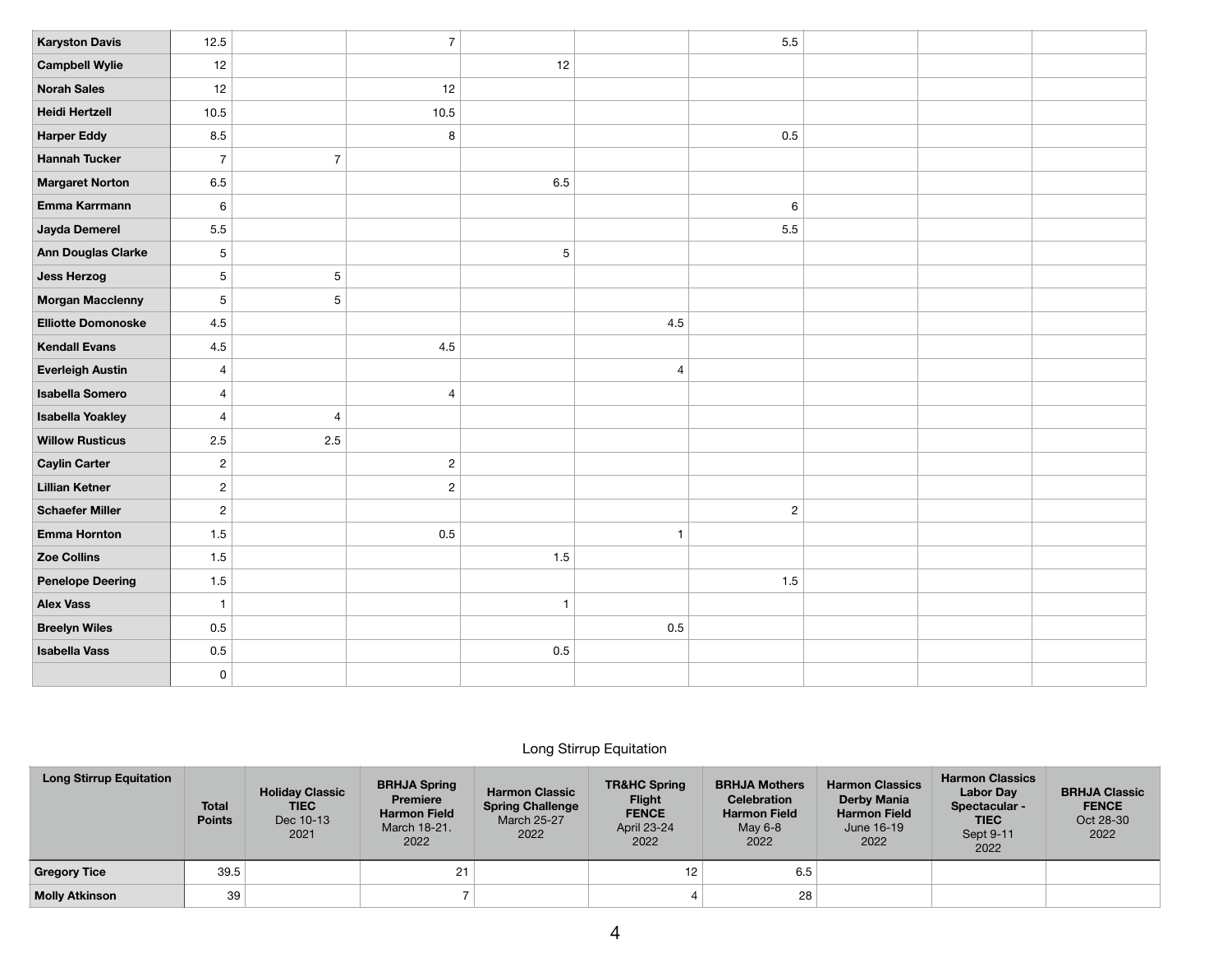| <b>Karyston Davis</b>     | 12.5           |                  | $\overline{7}$ |                |                | 5.5         |  |  |
|---------------------------|----------------|------------------|----------------|----------------|----------------|-------------|--|--|
| <b>Campbell Wylie</b>     | 12             |                  |                | 12             |                |             |  |  |
| <b>Norah Sales</b>        | 12             |                  | 12             |                |                |             |  |  |
| <b>Heidi Hertzell</b>     | 10.5           |                  | 10.5           |                |                |             |  |  |
| <b>Harper Eddy</b>        | 8.5            |                  | 8              |                |                | 0.5         |  |  |
| <b>Hannah Tucker</b>      | $\overline{7}$ | $\boldsymbol{7}$ |                |                |                |             |  |  |
| <b>Margaret Norton</b>    | 6.5            |                  |                | 6.5            |                |             |  |  |
| Emma Karrmann             | $\,6\,$        |                  |                |                |                | 6           |  |  |
| Jayda Demerel             | 5.5            |                  |                |                |                | 5.5         |  |  |
| Ann Douglas Clarke        | 5              |                  |                | $\mathbf 5$    |                |             |  |  |
| <b>Jess Herzog</b>        | 5              | $\,$ 5 $\,$      |                |                |                |             |  |  |
| <b>Morgan Macclenny</b>   | $\overline{5}$ | 5                |                |                |                |             |  |  |
| <b>Elliotte Domonoske</b> | 4.5            |                  |                |                | 4.5            |             |  |  |
| <b>Kendall Evans</b>      | 4.5            |                  | 4.5            |                |                |             |  |  |
| <b>Everleigh Austin</b>   | 4              |                  |                |                | $\overline{4}$ |             |  |  |
| <b>Isabella Somero</b>    | 4              |                  | $\overline{4}$ |                |                |             |  |  |
| <b>Isabella Yoakley</b>   | $\overline{4}$ | $\overline{4}$   |                |                |                |             |  |  |
| <b>Willow Rusticus</b>    | 2.5            | $2.5\,$          |                |                |                |             |  |  |
| <b>Caylin Carter</b>      | $\sqrt{2}$     |                  | $\sqrt{2}$     |                |                |             |  |  |
| <b>Lillian Ketner</b>     | $\sqrt{2}$     |                  | $\sqrt{2}$     |                |                |             |  |  |
| <b>Schaefer Miller</b>    | $\sqrt{2}$     |                  |                |                |                | $\mathbf 2$ |  |  |
| <b>Emma Hornton</b>       | 1.5            |                  | 0.5            |                | $\mathbf{1}$   |             |  |  |
| Zoe Collins               | 1.5            |                  |                | $1.5$          |                |             |  |  |
| <b>Penelope Deering</b>   | 1.5            |                  |                |                |                | $1.5$       |  |  |
| <b>Alex Vass</b>          | $\overline{1}$ |                  |                | $\overline{1}$ |                |             |  |  |
| <b>Breelyn Wiles</b>      | 0.5            |                  |                |                | 0.5            |             |  |  |
| <b>Isabella Vass</b>      | 0.5            |                  |                | $0.5\,$        |                |             |  |  |
|                           | 0              |                  |                |                |                |             |  |  |

## Long Stirrup Equitation

| <b>Long Stirrup Equitation</b> | <b>Total</b><br><b>Points</b> | <b>Holiday Classic</b><br><b>TIEC</b><br>Dec 10-13<br>2021 | <b>BRHJA Spring</b><br><b>Premiere</b><br><b>Harmon Field</b><br>March 18-21.<br>2022 | <b>Harmon Classic</b><br><b>Spring Challenge</b><br><b>March 25-27</b><br>2022 | <b>TR&amp;HC Spring</b><br><b>Flight</b><br><b>FENCE</b><br>April 23-24<br>2022 | <b>BRHJA Mothers</b><br><b>Celebration</b><br><b>Harmon Field</b><br>May 6-8<br>2022 | <b>Harmon Classics</b><br><b>Derby Mania</b><br><b>Harmon Field</b><br>June 16-19<br>2022 | <b>Harmon Classics</b><br><b>Labor Dav</b><br>Spectacular -<br><b>TIEC</b><br>Sept 9-11<br>2022 | <b>BRHJA Classic</b><br><b>FENCE</b><br>Oct 28-30<br>2022 |
|--------------------------------|-------------------------------|------------------------------------------------------------|---------------------------------------------------------------------------------------|--------------------------------------------------------------------------------|---------------------------------------------------------------------------------|--------------------------------------------------------------------------------------|-------------------------------------------------------------------------------------------|-------------------------------------------------------------------------------------------------|-----------------------------------------------------------|
| <b>Gregory Tice</b>            | 39.5                          |                                                            | 21                                                                                    |                                                                                | 12                                                                              | 6.5                                                                                  |                                                                                           |                                                                                                 |                                                           |
| <b>Molly Atkinson</b>          | 39                            |                                                            |                                                                                       |                                                                                |                                                                                 | 28                                                                                   |                                                                                           |                                                                                                 |                                                           |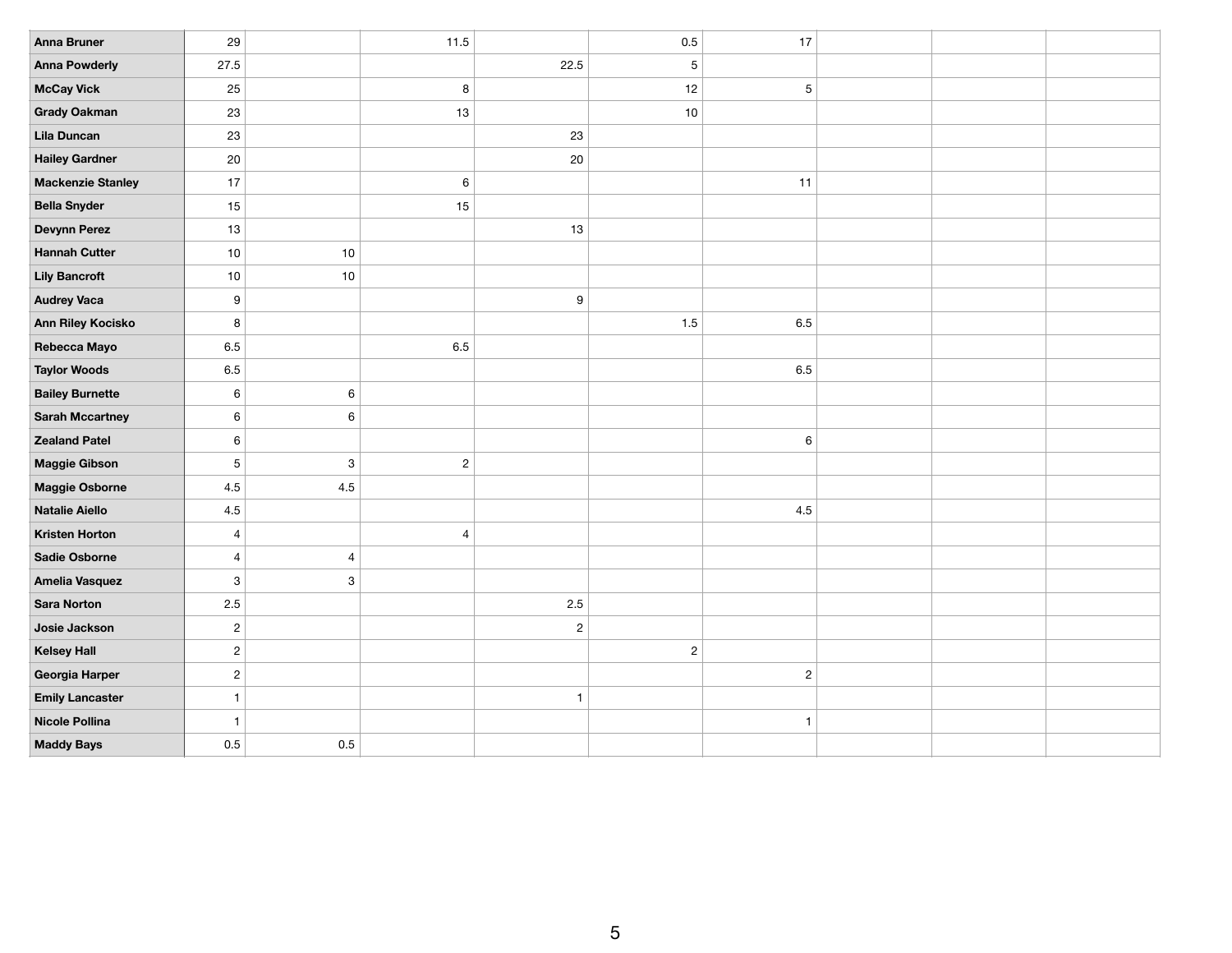| <b>Anna Bruner</b>       | 29             |                           | 11.5           |              | 0.5            | 17           |  |  |
|--------------------------|----------------|---------------------------|----------------|--------------|----------------|--------------|--|--|
| <b>Anna Powderly</b>     | 27.5           |                           |                | 22.5         | $\overline{5}$ |              |  |  |
| <b>McCay Vick</b>        | 25             |                           | 8              |              | 12             | $\sqrt{5}$   |  |  |
| <b>Grady Oakman</b>      | 23             |                           | 13             |              | 10             |              |  |  |
| Lila Duncan              | 23             |                           |                | 23           |                |              |  |  |
| <b>Hailey Gardner</b>    | 20             |                           |                | 20           |                |              |  |  |
| <b>Mackenzie Stanley</b> | 17             |                           | 6              |              |                | 11           |  |  |
| <b>Bella Snyder</b>      | 15             |                           | 15             |              |                |              |  |  |
| <b>Devynn Perez</b>      | 13             |                           |                | 13           |                |              |  |  |
| <b>Hannah Cutter</b>     | $10$           | $10$                      |                |              |                |              |  |  |
| <b>Lily Bancroft</b>     | 10             | $10$                      |                |              |                |              |  |  |
| <b>Audrey Vaca</b>       | 9              |                           |                | $\mathsf g$  |                |              |  |  |
| Ann Riley Kocisko        | 8              |                           |                |              | 1.5            | $6.5\,$      |  |  |
| Rebecca Mayo             | 6.5            |                           | 6.5            |              |                |              |  |  |
| <b>Taylor Woods</b>      | $6.5\,$        |                           |                |              |                | $6.5\,$      |  |  |
| <b>Bailey Burnette</b>   | $\,6\,$        | $\,6\,$                   |                |              |                |              |  |  |
| <b>Sarah Mccartney</b>   | $\,6\,$        | $\,6\,$                   |                |              |                |              |  |  |
| <b>Zealand Patel</b>     | $\,6\,$        |                           |                |              |                | $\,6\,$      |  |  |
| <b>Maggie Gibson</b>     | 5              | $\mathsf 3$               | $\overline{c}$ |              |                |              |  |  |
| Maggie Osborne           | $4.5\,$        | $4.5\,$                   |                |              |                |              |  |  |
| <b>Natalie Aiello</b>    | $4.5\,$        |                           |                |              |                | $4.5\,$      |  |  |
| <b>Kristen Horton</b>    | $\overline{4}$ |                           | $\overline{4}$ |              |                |              |  |  |
| Sadie Osborne            | $\overline{4}$ | $\overline{4}$            |                |              |                |              |  |  |
| <b>Amelia Vasquez</b>    | 3              | $\ensuremath{\mathsf{3}}$ |                |              |                |              |  |  |
| <b>Sara Norton</b>       | $2.5\,$        |                           |                | 2.5          |                |              |  |  |
| Josie Jackson            | $\overline{c}$ |                           |                | $\sqrt{2}$   |                |              |  |  |
| <b>Kelsey Hall</b>       | $\sqrt{2}$     |                           |                |              | $\overline{c}$ |              |  |  |
| Georgia Harper           | $\overline{c}$ |                           |                |              |                | $\sqrt{2}$   |  |  |
| <b>Emily Lancaster</b>   | $\mathbf{1}$   |                           |                | $\mathbf{1}$ |                |              |  |  |
| Nicole Pollina           | $\mathbf{1}$   |                           |                |              |                | $\mathbf{1}$ |  |  |
| <b>Maddy Bays</b>        | 0.5            | 0.5                       |                |              |                |              |  |  |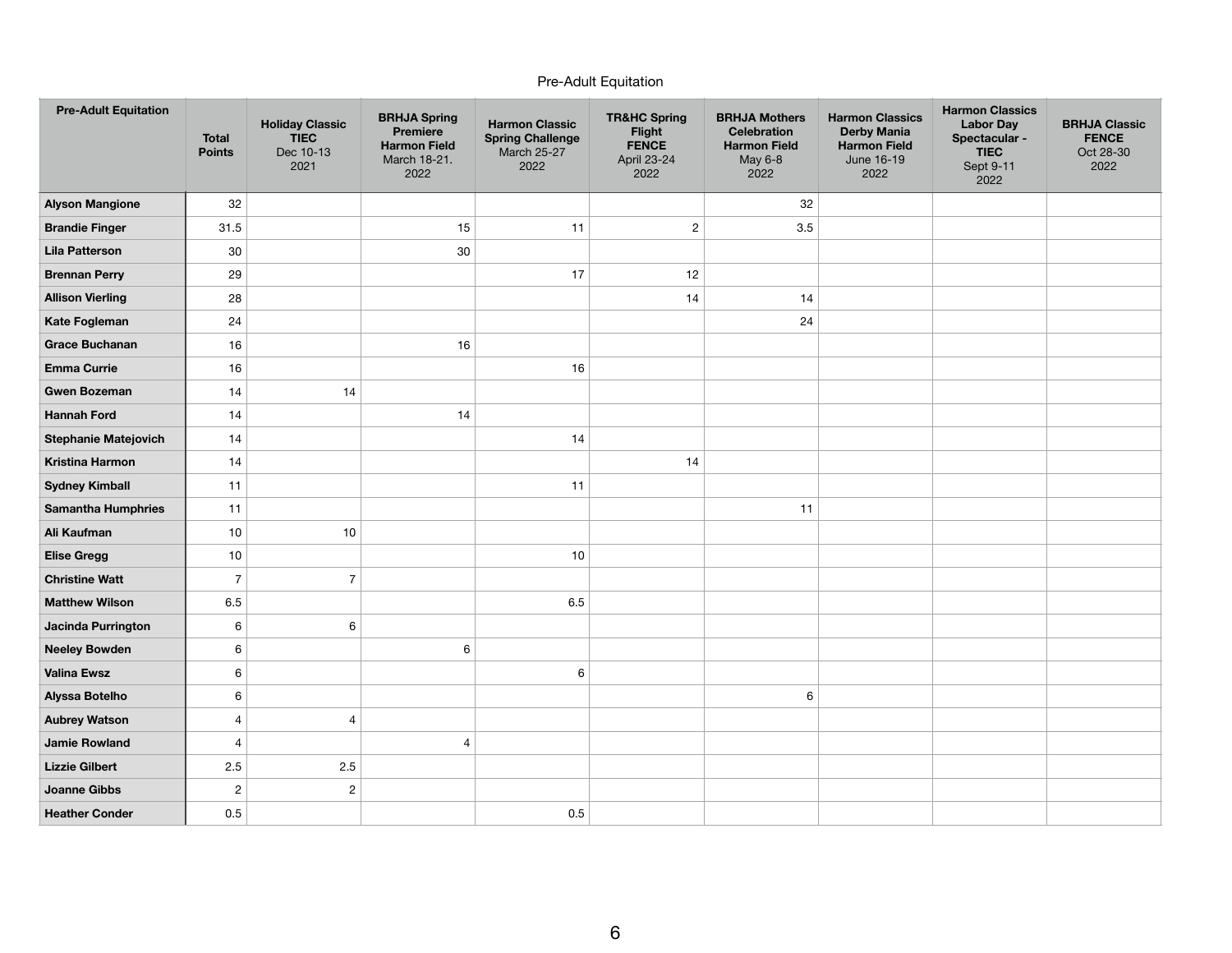## Pre-Adult Equitation

| <b>Pre-Adult Equitation</b> | <b>Total</b><br><b>Points</b> | <b>Holiday Classic</b><br><b>TIEC</b><br>Dec 10-13<br>2021 | <b>BRHJA Spring</b><br><b>Premiere</b><br><b>Harmon Field</b><br>March 18-21.<br>2022 | <b>Harmon Classic</b><br><b>Spring Challenge</b><br><b>March 25-27</b><br>2022 | <b>TR&amp;HC Spring</b><br>Flight<br><b>FENCE</b><br>April 23-24<br>2022 | <b>BRHJA Mothers</b><br><b>Celebration</b><br><b>Harmon Field</b><br>May 6-8<br>2022 | <b>Harmon Classics</b><br><b>Derby Mania</b><br><b>Harmon Field</b><br>June 16-19<br>2022 | <b>Harmon Classics</b><br><b>Labor Day</b><br>Spectacular -<br><b>TIEC</b><br>Sept 9-11<br>2022 | <b>BRHJA Classic</b><br><b>FENCE</b><br>Oct 28-30<br>2022 |
|-----------------------------|-------------------------------|------------------------------------------------------------|---------------------------------------------------------------------------------------|--------------------------------------------------------------------------------|--------------------------------------------------------------------------|--------------------------------------------------------------------------------------|-------------------------------------------------------------------------------------------|-------------------------------------------------------------------------------------------------|-----------------------------------------------------------|
| <b>Alyson Mangione</b>      | 32                            |                                                            |                                                                                       |                                                                                |                                                                          | 32                                                                                   |                                                                                           |                                                                                                 |                                                           |
| <b>Brandie Finger</b>       | 31.5                          |                                                            | 15                                                                                    | 11                                                                             | $\overline{c}$                                                           | 3.5                                                                                  |                                                                                           |                                                                                                 |                                                           |
| <b>Lila Patterson</b>       | 30                            |                                                            | $30\,$                                                                                |                                                                                |                                                                          |                                                                                      |                                                                                           |                                                                                                 |                                                           |
| <b>Brennan Perry</b>        | 29                            |                                                            |                                                                                       | 17                                                                             | 12                                                                       |                                                                                      |                                                                                           |                                                                                                 |                                                           |
| <b>Allison Vierling</b>     | 28                            |                                                            |                                                                                       |                                                                                | 14                                                                       | 14                                                                                   |                                                                                           |                                                                                                 |                                                           |
| Kate Fogleman               | 24                            |                                                            |                                                                                       |                                                                                |                                                                          | 24                                                                                   |                                                                                           |                                                                                                 |                                                           |
| <b>Grace Buchanan</b>       | 16                            |                                                            | 16                                                                                    |                                                                                |                                                                          |                                                                                      |                                                                                           |                                                                                                 |                                                           |
| <b>Emma Currie</b>          | 16                            |                                                            |                                                                                       | 16                                                                             |                                                                          |                                                                                      |                                                                                           |                                                                                                 |                                                           |
| <b>Gwen Bozeman</b>         | 14                            | 14                                                         |                                                                                       |                                                                                |                                                                          |                                                                                      |                                                                                           |                                                                                                 |                                                           |
| <b>Hannah Ford</b>          | 14                            |                                                            | 14                                                                                    |                                                                                |                                                                          |                                                                                      |                                                                                           |                                                                                                 |                                                           |
| <b>Stephanie Matejovich</b> | 14                            |                                                            |                                                                                       | 14                                                                             |                                                                          |                                                                                      |                                                                                           |                                                                                                 |                                                           |
| <b>Kristina Harmon</b>      | 14                            |                                                            |                                                                                       |                                                                                | 14                                                                       |                                                                                      |                                                                                           |                                                                                                 |                                                           |
| <b>Sydney Kimball</b>       | 11                            |                                                            |                                                                                       | 11                                                                             |                                                                          |                                                                                      |                                                                                           |                                                                                                 |                                                           |
| <b>Samantha Humphries</b>   | 11                            |                                                            |                                                                                       |                                                                                |                                                                          | 11                                                                                   |                                                                                           |                                                                                                 |                                                           |
| Ali Kaufman                 | $10$                          | 10                                                         |                                                                                       |                                                                                |                                                                          |                                                                                      |                                                                                           |                                                                                                 |                                                           |
| <b>Elise Gregg</b>          | $10$                          |                                                            |                                                                                       | 10                                                                             |                                                                          |                                                                                      |                                                                                           |                                                                                                 |                                                           |
| <b>Christine Watt</b>       | $\overline{7}$                | $\overline{7}$                                             |                                                                                       |                                                                                |                                                                          |                                                                                      |                                                                                           |                                                                                                 |                                                           |
| <b>Matthew Wilson</b>       | 6.5                           |                                                            |                                                                                       | 6.5                                                                            |                                                                          |                                                                                      |                                                                                           |                                                                                                 |                                                           |
| Jacinda Purrington          | 6                             | 6                                                          |                                                                                       |                                                                                |                                                                          |                                                                                      |                                                                                           |                                                                                                 |                                                           |
| <b>Neeley Bowden</b>        | $\,6\,$                       |                                                            | 6                                                                                     |                                                                                |                                                                          |                                                                                      |                                                                                           |                                                                                                 |                                                           |
| <b>Valina Ewsz</b>          | 6                             |                                                            |                                                                                       | $\,6\,$                                                                        |                                                                          |                                                                                      |                                                                                           |                                                                                                 |                                                           |
| Alyssa Botelho              | 6                             |                                                            |                                                                                       |                                                                                |                                                                          | 6                                                                                    |                                                                                           |                                                                                                 |                                                           |
| <b>Aubrey Watson</b>        | $\overline{4}$                | $\overline{4}$                                             |                                                                                       |                                                                                |                                                                          |                                                                                      |                                                                                           |                                                                                                 |                                                           |
| <b>Jamie Rowland</b>        | $\overline{4}$                |                                                            | $\overline{4}$                                                                        |                                                                                |                                                                          |                                                                                      |                                                                                           |                                                                                                 |                                                           |
| <b>Lizzie Gilbert</b>       | 2.5                           | 2.5                                                        |                                                                                       |                                                                                |                                                                          |                                                                                      |                                                                                           |                                                                                                 |                                                           |
| <b>Joanne Gibbs</b>         | $\overline{c}$                | $\overline{c}$                                             |                                                                                       |                                                                                |                                                                          |                                                                                      |                                                                                           |                                                                                                 |                                                           |
| <b>Heather Conder</b>       | 0.5                           |                                                            |                                                                                       | 0.5                                                                            |                                                                          |                                                                                      |                                                                                           |                                                                                                 |                                                           |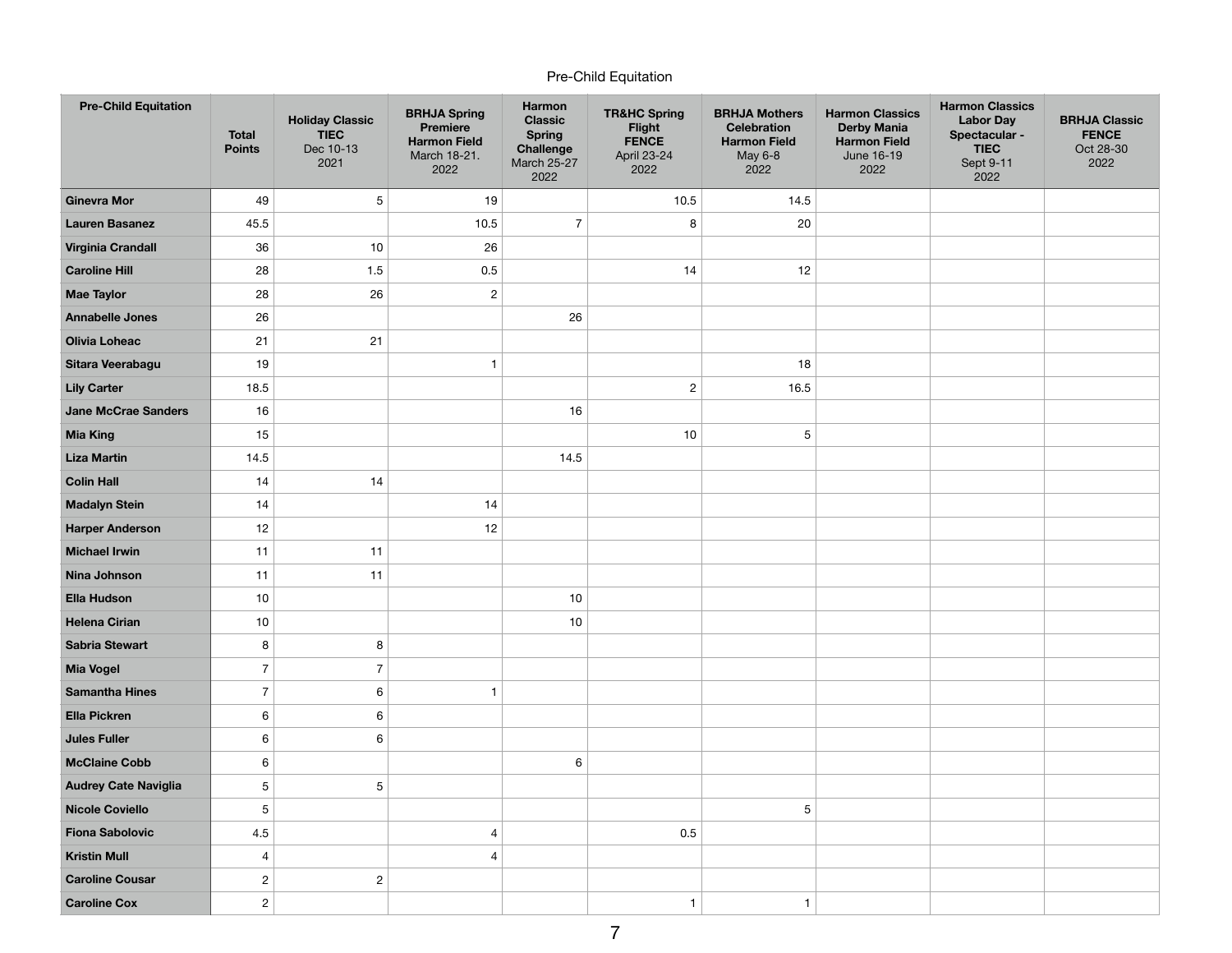## Pre-Child Equitation

| <b>Pre-Child Equitation</b> | <b>Total</b><br><b>Points</b> | <b>Holiday Classic</b><br><b>TIEC</b><br>Dec 10-13<br>2021 | <b>BRHJA Spring</b><br><b>Premiere</b><br><b>Harmon Field</b><br>March 18-21.<br>2022 | Harmon<br><b>Classic</b><br><b>Spring</b><br>Challenge<br><b>March 25-27</b><br>2022 | <b>TR&amp;HC Spring</b><br>Flight<br><b>FENCE</b><br>April 23-24<br>2022 | <b>BRHJA Mothers</b><br><b>Celebration</b><br><b>Harmon Field</b><br>May 6-8<br>2022 | <b>Harmon Classics</b><br><b>Derby Mania</b><br><b>Harmon Field</b><br>June 16-19<br>2022 | <b>Harmon Classics</b><br><b>Labor Day</b><br>Spectacular -<br><b>TIEC</b><br>Sept 9-11<br>2022 | <b>BRHJA Classic</b><br><b>FENCE</b><br>Oct 28-30<br>2022 |
|-----------------------------|-------------------------------|------------------------------------------------------------|---------------------------------------------------------------------------------------|--------------------------------------------------------------------------------------|--------------------------------------------------------------------------|--------------------------------------------------------------------------------------|-------------------------------------------------------------------------------------------|-------------------------------------------------------------------------------------------------|-----------------------------------------------------------|
| <b>Ginevra Mor</b>          | 49                            | 5                                                          | 19                                                                                    |                                                                                      | 10.5                                                                     | 14.5                                                                                 |                                                                                           |                                                                                                 |                                                           |
| <b>Lauren Basanez</b>       | 45.5                          |                                                            | 10.5                                                                                  | $\overline{7}$                                                                       | 8                                                                        | 20                                                                                   |                                                                                           |                                                                                                 |                                                           |
| <b>Virginia Crandall</b>    | 36                            | 10                                                         | 26                                                                                    |                                                                                      |                                                                          |                                                                                      |                                                                                           |                                                                                                 |                                                           |
| <b>Caroline Hill</b>        | 28                            | 1.5                                                        | $0.5\,$                                                                               |                                                                                      | 14                                                                       | 12                                                                                   |                                                                                           |                                                                                                 |                                                           |
| <b>Mae Taylor</b>           | 28                            | 26                                                         | $\sqrt{2}$                                                                            |                                                                                      |                                                                          |                                                                                      |                                                                                           |                                                                                                 |                                                           |
| <b>Annabelle Jones</b>      | 26                            |                                                            |                                                                                       | 26                                                                                   |                                                                          |                                                                                      |                                                                                           |                                                                                                 |                                                           |
| <b>Olivia Loheac</b>        | 21                            | 21                                                         |                                                                                       |                                                                                      |                                                                          |                                                                                      |                                                                                           |                                                                                                 |                                                           |
| Sitara Veerabagu            | 19                            |                                                            | $\mathbf{1}$                                                                          |                                                                                      |                                                                          | 18                                                                                   |                                                                                           |                                                                                                 |                                                           |
| <b>Lily Carter</b>          | 18.5                          |                                                            |                                                                                       |                                                                                      | $\sqrt{2}$                                                               | 16.5                                                                                 |                                                                                           |                                                                                                 |                                                           |
| <b>Jane McCrae Sanders</b>  | 16                            |                                                            |                                                                                       | 16                                                                                   |                                                                          |                                                                                      |                                                                                           |                                                                                                 |                                                           |
| <b>Mia King</b>             | 15                            |                                                            |                                                                                       |                                                                                      | 10                                                                       | 5                                                                                    |                                                                                           |                                                                                                 |                                                           |
| <b>Liza Martin</b>          | 14.5                          |                                                            |                                                                                       | 14.5                                                                                 |                                                                          |                                                                                      |                                                                                           |                                                                                                 |                                                           |
| <b>Colin Hall</b>           | 14                            | 14                                                         |                                                                                       |                                                                                      |                                                                          |                                                                                      |                                                                                           |                                                                                                 |                                                           |
| <b>Madalyn Stein</b>        | 14                            |                                                            | 14                                                                                    |                                                                                      |                                                                          |                                                                                      |                                                                                           |                                                                                                 |                                                           |
| <b>Harper Anderson</b>      | 12                            |                                                            | 12                                                                                    |                                                                                      |                                                                          |                                                                                      |                                                                                           |                                                                                                 |                                                           |
| <b>Michael Irwin</b>        | 11                            | 11                                                         |                                                                                       |                                                                                      |                                                                          |                                                                                      |                                                                                           |                                                                                                 |                                                           |
| Nina Johnson                | 11                            | 11                                                         |                                                                                       |                                                                                      |                                                                          |                                                                                      |                                                                                           |                                                                                                 |                                                           |
| <b>Ella Hudson</b>          | $10$                          |                                                            |                                                                                       | $10$                                                                                 |                                                                          |                                                                                      |                                                                                           |                                                                                                 |                                                           |
| <b>Helena Cirian</b>        | 10                            |                                                            |                                                                                       | $10$                                                                                 |                                                                          |                                                                                      |                                                                                           |                                                                                                 |                                                           |
| <b>Sabria Stewart</b>       | 8                             | 8                                                          |                                                                                       |                                                                                      |                                                                          |                                                                                      |                                                                                           |                                                                                                 |                                                           |
| <b>Mia Vogel</b>            | $\overline{7}$                | $\overline{7}$                                             |                                                                                       |                                                                                      |                                                                          |                                                                                      |                                                                                           |                                                                                                 |                                                           |
| <b>Samantha Hines</b>       | $\overline{7}$                | 6                                                          | $\mathbf{1}$                                                                          |                                                                                      |                                                                          |                                                                                      |                                                                                           |                                                                                                 |                                                           |
| <b>Ella Pickren</b>         | 6                             | 6                                                          |                                                                                       |                                                                                      |                                                                          |                                                                                      |                                                                                           |                                                                                                 |                                                           |
| <b>Jules Fuller</b>         | 6                             | 6                                                          |                                                                                       |                                                                                      |                                                                          |                                                                                      |                                                                                           |                                                                                                 |                                                           |
| <b>McClaine Cobb</b>        | 6                             |                                                            |                                                                                       | 6                                                                                    |                                                                          |                                                                                      |                                                                                           |                                                                                                 |                                                           |
| <b>Audrey Cate Naviglia</b> | 5                             | 5                                                          |                                                                                       |                                                                                      |                                                                          |                                                                                      |                                                                                           |                                                                                                 |                                                           |
| <b>Nicole Coviello</b>      | 5                             |                                                            |                                                                                       |                                                                                      |                                                                          | 5                                                                                    |                                                                                           |                                                                                                 |                                                           |
| <b>Fiona Sabolovic</b>      | 4.5                           |                                                            | 4                                                                                     |                                                                                      | 0.5                                                                      |                                                                                      |                                                                                           |                                                                                                 |                                                           |
| <b>Kristin Mull</b>         | 4                             |                                                            | 4                                                                                     |                                                                                      |                                                                          |                                                                                      |                                                                                           |                                                                                                 |                                                           |
| <b>Caroline Cousar</b>      | $\overline{\mathbf{c}}$       | $\overline{\mathbf{c}}$                                    |                                                                                       |                                                                                      |                                                                          |                                                                                      |                                                                                           |                                                                                                 |                                                           |
| <b>Caroline Cox</b>         | $\overline{\mathbf{c}}$       |                                                            |                                                                                       |                                                                                      | $\mathbf{1}$                                                             | $\mathbf{1}$                                                                         |                                                                                           |                                                                                                 |                                                           |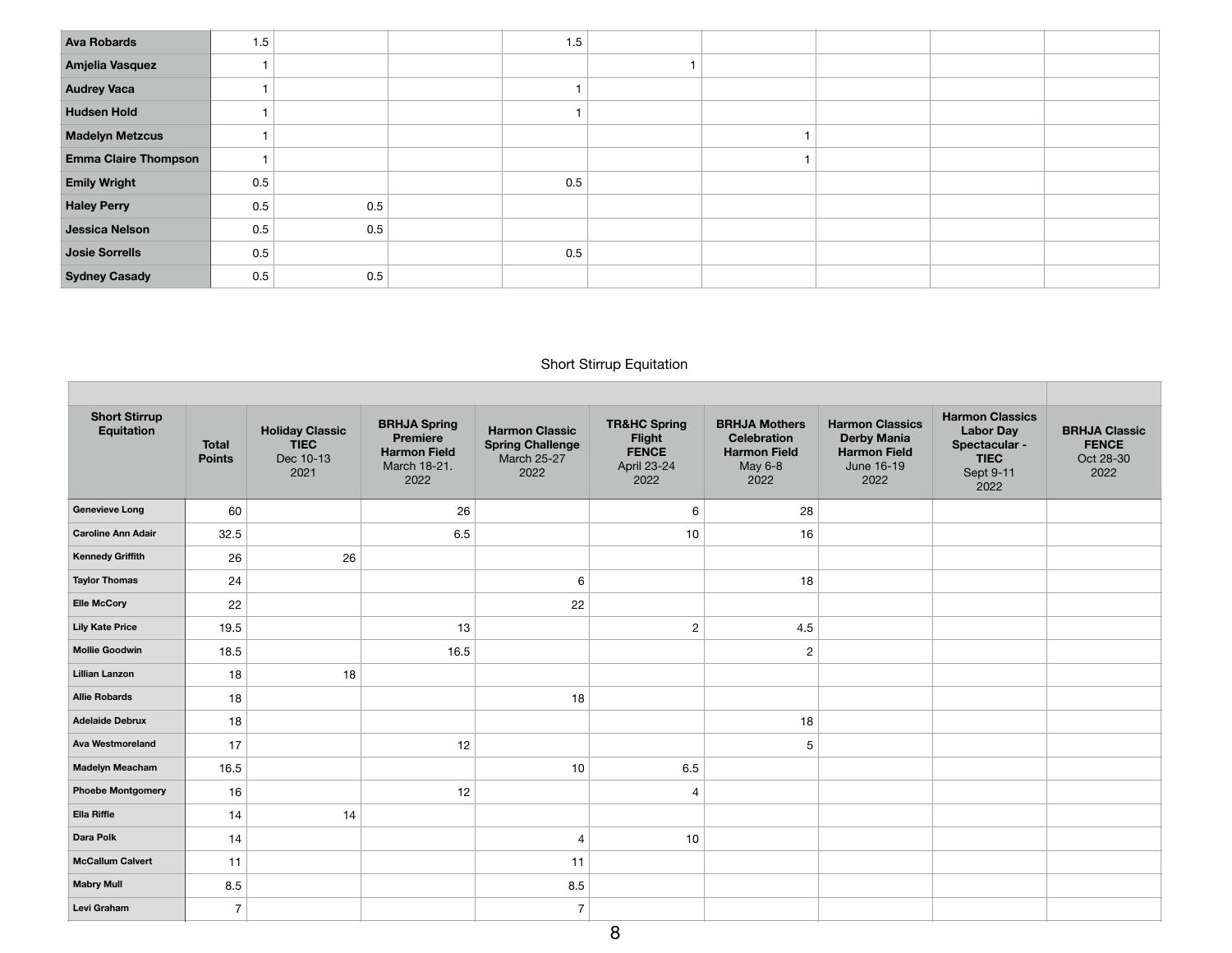| <b>Ava Robards</b>          | 1.5 |     | 1.5 |  |  |
|-----------------------------|-----|-----|-----|--|--|
| Amjelia Vasquez             |     |     |     |  |  |
| <b>Audrey Vaca</b>          |     |     |     |  |  |
| <b>Hudsen Hold</b>          |     |     |     |  |  |
| <b>Madelyn Metzcus</b>      |     |     |     |  |  |
| <b>Emma Claire Thompson</b> |     |     |     |  |  |
| <b>Emily Wright</b>         | 0.5 |     | 0.5 |  |  |
| <b>Haley Perry</b>          | 0.5 | 0.5 |     |  |  |
| Jessica Nelson              | 0.5 | 0.5 |     |  |  |
| Josie Sorrells              | 0.5 |     | 0.5 |  |  |
| <b>Sydney Casady</b>        | 0.5 | 0.5 |     |  |  |

# Short Stirrup Equitation

| <b>Short Stirrup</b><br>Equitation | <b>Total</b><br><b>Points</b> | <b>Holiday Classic</b><br><b>TIEC</b><br>Dec 10-13<br>2021 | <b>BRHJA Spring</b><br><b>Premiere</b><br><b>Harmon Field</b><br>March 18-21.<br>2022 | <b>Harmon Classic</b><br><b>Spring Challenge</b><br><b>March 25-27</b><br>2022 | <b>TR&amp;HC Spring</b><br>Flight<br><b>FENCE</b><br>April 23-24<br>2022 | <b>BRHJA Mothers</b><br><b>Celebration</b><br><b>Harmon Field</b><br>May 6-8<br>2022 | <b>Harmon Classics</b><br><b>Derby Mania</b><br><b>Harmon Field</b><br>June 16-19<br>2022 | <b>Harmon Classics</b><br><b>Labor Day</b><br>Spectacular -<br><b>TIEC</b><br>Sept 9-11<br>2022 | <b>BRHJA Classic</b><br><b>FENCE</b><br>Oct 28-30<br>2022 |
|------------------------------------|-------------------------------|------------------------------------------------------------|---------------------------------------------------------------------------------------|--------------------------------------------------------------------------------|--------------------------------------------------------------------------|--------------------------------------------------------------------------------------|-------------------------------------------------------------------------------------------|-------------------------------------------------------------------------------------------------|-----------------------------------------------------------|
| <b>Genevieve Long</b>              | 60                            |                                                            | 26                                                                                    |                                                                                | 6                                                                        | 28                                                                                   |                                                                                           |                                                                                                 |                                                           |
| <b>Caroline Ann Adair</b>          | 32.5                          |                                                            | 6.5                                                                                   |                                                                                | 10                                                                       | 16                                                                                   |                                                                                           |                                                                                                 |                                                           |
| <b>Kennedy Griffith</b>            | 26                            | 26                                                         |                                                                                       |                                                                                |                                                                          |                                                                                      |                                                                                           |                                                                                                 |                                                           |
| <b>Taylor Thomas</b>               | 24                            |                                                            |                                                                                       | 6                                                                              |                                                                          | 18                                                                                   |                                                                                           |                                                                                                 |                                                           |
| <b>Elle McCory</b>                 | 22                            |                                                            |                                                                                       | 22                                                                             |                                                                          |                                                                                      |                                                                                           |                                                                                                 |                                                           |
| <b>Lily Kate Price</b>             | 19.5                          |                                                            | 13                                                                                    |                                                                                | $\overline{2}$                                                           | 4.5                                                                                  |                                                                                           |                                                                                                 |                                                           |
| <b>Mollie Goodwin</b>              | 18.5                          |                                                            | 16.5                                                                                  |                                                                                |                                                                          | $\overline{2}$                                                                       |                                                                                           |                                                                                                 |                                                           |
| <b>Lillian Lanzon</b>              | 18                            | 18                                                         |                                                                                       |                                                                                |                                                                          |                                                                                      |                                                                                           |                                                                                                 |                                                           |
| <b>Allie Robards</b>               | 18                            |                                                            |                                                                                       | 18                                                                             |                                                                          |                                                                                      |                                                                                           |                                                                                                 |                                                           |
| <b>Adelaide Debrux</b>             | 18                            |                                                            |                                                                                       |                                                                                |                                                                          | 18                                                                                   |                                                                                           |                                                                                                 |                                                           |
| <b>Ava Westmoreland</b>            | 17                            |                                                            | 12                                                                                    |                                                                                |                                                                          | 5                                                                                    |                                                                                           |                                                                                                 |                                                           |
| <b>Madelyn Meacham</b>             | 16.5                          |                                                            |                                                                                       | 10                                                                             | 6.5                                                                      |                                                                                      |                                                                                           |                                                                                                 |                                                           |
| <b>Phoebe Montgomery</b>           | 16                            |                                                            | 12                                                                                    |                                                                                | $\overline{4}$                                                           |                                                                                      |                                                                                           |                                                                                                 |                                                           |
| Ella Riffle                        | 14                            | 14                                                         |                                                                                       |                                                                                |                                                                          |                                                                                      |                                                                                           |                                                                                                 |                                                           |
| Dara Polk                          | 14                            |                                                            |                                                                                       | $\overline{4}$                                                                 | 10                                                                       |                                                                                      |                                                                                           |                                                                                                 |                                                           |
| <b>McCallum Calvert</b>            | 11                            |                                                            |                                                                                       | 11                                                                             |                                                                          |                                                                                      |                                                                                           |                                                                                                 |                                                           |
| <b>Mabry Mull</b>                  | 8.5                           |                                                            |                                                                                       | 8.5                                                                            |                                                                          |                                                                                      |                                                                                           |                                                                                                 |                                                           |
| Levi Graham                        | $\overline{7}$                |                                                            |                                                                                       | $\overline{7}$                                                                 |                                                                          |                                                                                      |                                                                                           |                                                                                                 |                                                           |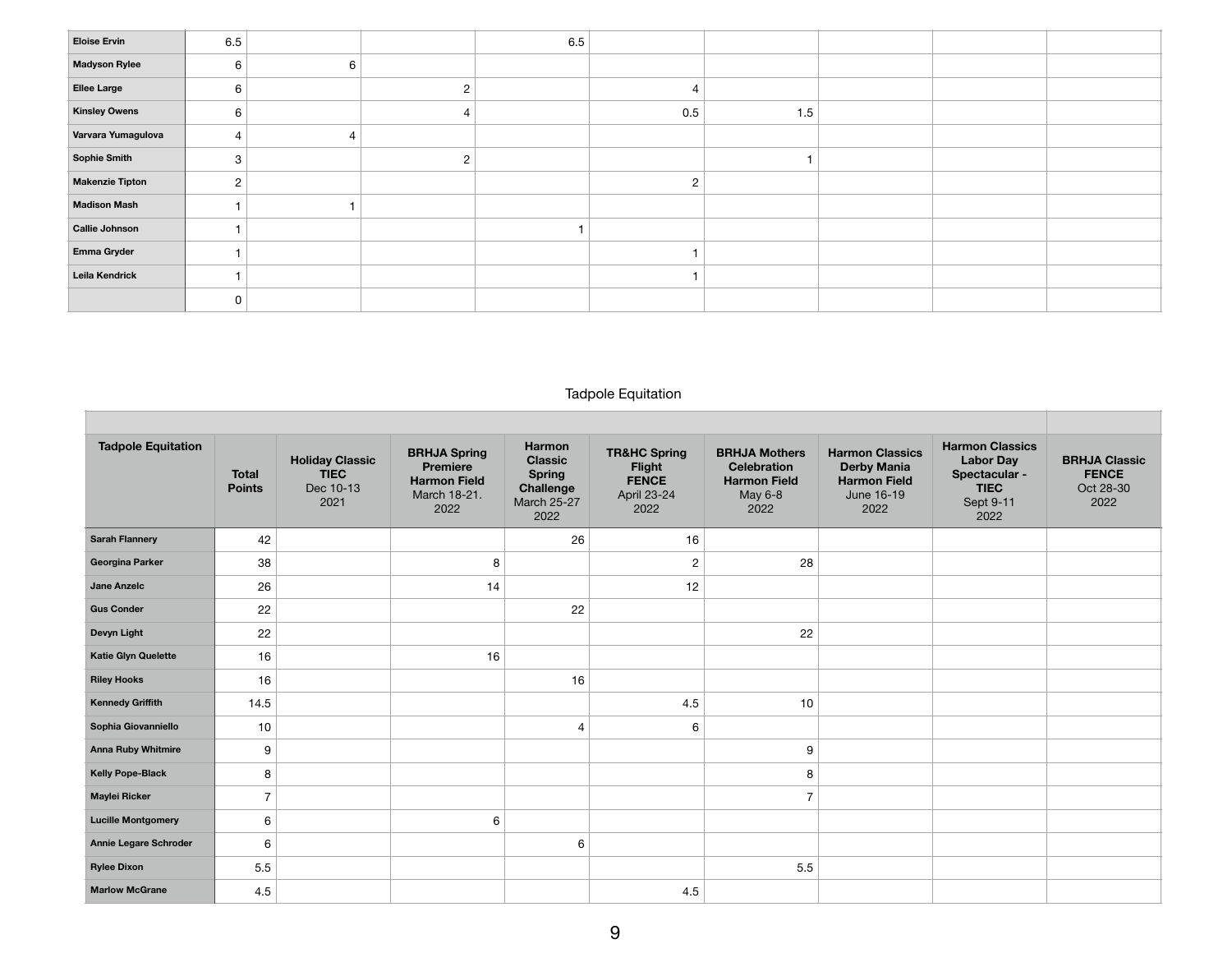| <b>Eloise Ervin</b>    | 6.5            |   | 6.5 |     |     |  |  |
|------------------------|----------------|---|-----|-----|-----|--|--|
| <b>Madyson Rylee</b>   | 6              | 6 |     |     |     |  |  |
| Ellee Large            | 6              |   |     | 4   |     |  |  |
| <b>Kinsley Owens</b>   | 6              |   |     | 0.5 | 1.5 |  |  |
| Varvara Yumagulova     | $\overline{4}$ | 4 |     |     |     |  |  |
| Sophie Smith           | 3              |   |     |     |     |  |  |
| <b>Makenzie Tipton</b> | $\overline{2}$ |   |     | 2   |     |  |  |
| <b>Madison Mash</b>    |                |   |     |     |     |  |  |
| Callie Johnson         |                |   |     |     |     |  |  |
| Emma Gryder            |                |   |     |     |     |  |  |
| Leila Kendrick         |                |   |     |     |     |  |  |
|                        | 0              |   |     |     |     |  |  |

## Tadpole Equitation

| <b>Tadpole Equitation</b>  | <b>Total</b><br><b>Points</b> | <b>Holiday Classic</b><br><b>TIEC</b><br>Dec 10-13<br>2021 | <b>BRHJA Spring</b><br>Premiere<br><b>Harmon Field</b><br>March 18-21.<br>2022 | <b>Harmon</b><br><b>Classic</b><br><b>Spring</b><br>Challenge<br>March 25-27<br>2022 | <b>TR&amp;HC Spring</b><br>Flight<br><b>FENCE</b><br>April 23-24<br>2022 | <b>BRHJA Mothers</b><br><b>Celebration</b><br><b>Harmon Field</b><br>May 6-8<br>2022 | <b>Harmon Classics</b><br><b>Derby Mania</b><br><b>Harmon Field</b><br>June 16-19<br>2022 | <b>Harmon Classics</b><br><b>Labor Day</b><br>Spectacular -<br><b>TIEC</b><br>Sept 9-11<br>2022 | <b>BRHJA Classic</b><br><b>FENCE</b><br>Oct 28-30<br>2022 |
|----------------------------|-------------------------------|------------------------------------------------------------|--------------------------------------------------------------------------------|--------------------------------------------------------------------------------------|--------------------------------------------------------------------------|--------------------------------------------------------------------------------------|-------------------------------------------------------------------------------------------|-------------------------------------------------------------------------------------------------|-----------------------------------------------------------|
| <b>Sarah Flannery</b>      | 42                            |                                                            |                                                                                | 26                                                                                   | 16                                                                       |                                                                                      |                                                                                           |                                                                                                 |                                                           |
| Georgina Parker            | 38                            |                                                            | 8                                                                              |                                                                                      | $\mathbf{2}$                                                             | 28                                                                                   |                                                                                           |                                                                                                 |                                                           |
| Jane Anzelc                | 26                            |                                                            | 14                                                                             |                                                                                      | 12                                                                       |                                                                                      |                                                                                           |                                                                                                 |                                                           |
| <b>Gus Conder</b>          | 22                            |                                                            |                                                                                | 22                                                                                   |                                                                          |                                                                                      |                                                                                           |                                                                                                 |                                                           |
| Devyn Light                | 22                            |                                                            |                                                                                |                                                                                      |                                                                          | 22                                                                                   |                                                                                           |                                                                                                 |                                                           |
| <b>Katie Glyn Quelette</b> | 16                            |                                                            | 16                                                                             |                                                                                      |                                                                          |                                                                                      |                                                                                           |                                                                                                 |                                                           |
| <b>Riley Hooks</b>         | 16                            |                                                            |                                                                                | 16                                                                                   |                                                                          |                                                                                      |                                                                                           |                                                                                                 |                                                           |
| <b>Kennedy Griffith</b>    | 14.5                          |                                                            |                                                                                |                                                                                      | 4.5                                                                      | 10                                                                                   |                                                                                           |                                                                                                 |                                                           |
| Sophia Giovanniello        | 10                            |                                                            |                                                                                | 4                                                                                    | 6                                                                        |                                                                                      |                                                                                           |                                                                                                 |                                                           |
| <b>Anna Ruby Whitmire</b>  | 9                             |                                                            |                                                                                |                                                                                      |                                                                          | 9                                                                                    |                                                                                           |                                                                                                 |                                                           |
| <b>Kelly Pope-Black</b>    | 8                             |                                                            |                                                                                |                                                                                      |                                                                          | 8                                                                                    |                                                                                           |                                                                                                 |                                                           |
| Maylei Ricker              | $\overline{7}$                |                                                            |                                                                                |                                                                                      |                                                                          | $\overline{7}$                                                                       |                                                                                           |                                                                                                 |                                                           |
| <b>Lucille Montgomery</b>  | 6                             |                                                            | 6                                                                              |                                                                                      |                                                                          |                                                                                      |                                                                                           |                                                                                                 |                                                           |
| Annie Legare Schroder      | 6                             |                                                            |                                                                                | 6                                                                                    |                                                                          |                                                                                      |                                                                                           |                                                                                                 |                                                           |
| <b>Rylee Dixon</b>         | 5.5                           |                                                            |                                                                                |                                                                                      |                                                                          | 5.5                                                                                  |                                                                                           |                                                                                                 |                                                           |
| <b>Marlow McGrane</b>      | 4.5                           |                                                            |                                                                                |                                                                                      | 4.5                                                                      |                                                                                      |                                                                                           |                                                                                                 |                                                           |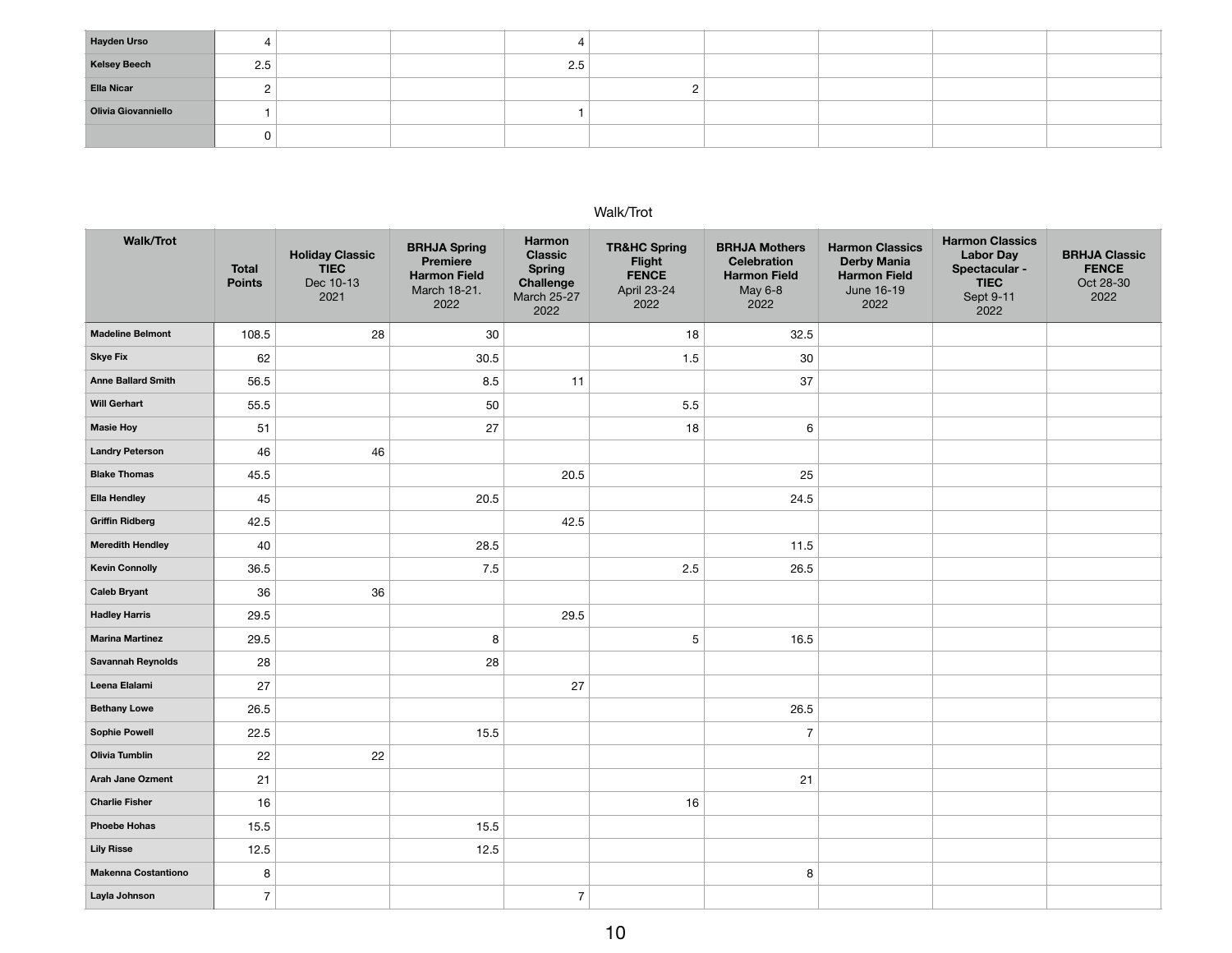| <b>Hayden Urso</b>  | ∸   |  |     |  |  |  |
|---------------------|-----|--|-----|--|--|--|
| <b>Kelsey Beech</b> | 2.5 |  | 2.5 |  |  |  |
| <b>Ella Nicar</b>   |     |  |     |  |  |  |
| Olivia Giovanniello |     |  |     |  |  |  |
|                     |     |  |     |  |  |  |

#### Walk/Trot

| <b>Walk/Trot</b>           | <b>Total</b><br><b>Points</b> | <b>Holiday Classic</b><br><b>TIEC</b><br>Dec 10-13<br>2021 | <b>BRHJA Spring</b><br>Premiere<br><b>Harmon Field</b><br>March 18-21.<br>2022 | <b>Harmon</b><br><b>Classic</b><br><b>Spring</b><br>Challenge<br><b>March 25-27</b><br>2022 | <b>TR&amp;HC Spring</b><br>Flight<br><b>FENCE</b><br>April 23-24<br>2022 | <b>BRHJA Mothers</b><br><b>Celebration</b><br><b>Harmon Field</b><br>May 6-8<br>2022 | <b>Harmon Classics</b><br><b>Derby Mania</b><br><b>Harmon Field</b><br>June 16-19<br>2022 | <b>Harmon Classics</b><br><b>Labor Day</b><br>Spectacular -<br><b>TIEC</b><br>Sept 9-11<br>2022 | <b>BRHJA Classic</b><br><b>FENCE</b><br>Oct 28-30<br>2022 |
|----------------------------|-------------------------------|------------------------------------------------------------|--------------------------------------------------------------------------------|---------------------------------------------------------------------------------------------|--------------------------------------------------------------------------|--------------------------------------------------------------------------------------|-------------------------------------------------------------------------------------------|-------------------------------------------------------------------------------------------------|-----------------------------------------------------------|
| <b>Madeline Belmont</b>    | 108.5                         | 28                                                         | 30                                                                             |                                                                                             | 18                                                                       | 32.5                                                                                 |                                                                                           |                                                                                                 |                                                           |
| <b>Skye Fix</b>            | 62                            |                                                            | 30.5                                                                           |                                                                                             | 1.5                                                                      | 30                                                                                   |                                                                                           |                                                                                                 |                                                           |
| <b>Anne Ballard Smith</b>  | 56.5                          |                                                            | 8.5                                                                            | 11                                                                                          |                                                                          | 37                                                                                   |                                                                                           |                                                                                                 |                                                           |
| <b>Will Gerhart</b>        | 55.5                          |                                                            | 50                                                                             |                                                                                             | 5.5                                                                      |                                                                                      |                                                                                           |                                                                                                 |                                                           |
| <b>Masie Hoy</b>           | 51                            |                                                            | 27                                                                             |                                                                                             | 18                                                                       | 6                                                                                    |                                                                                           |                                                                                                 |                                                           |
| <b>Landry Peterson</b>     | 46                            | 46                                                         |                                                                                |                                                                                             |                                                                          |                                                                                      |                                                                                           |                                                                                                 |                                                           |
| <b>Blake Thomas</b>        | 45.5                          |                                                            |                                                                                | 20.5                                                                                        |                                                                          | 25                                                                                   |                                                                                           |                                                                                                 |                                                           |
| <b>Ella Hendley</b>        | 45                            |                                                            | 20.5                                                                           |                                                                                             |                                                                          | 24.5                                                                                 |                                                                                           |                                                                                                 |                                                           |
| <b>Griffin Ridberg</b>     | 42.5                          |                                                            |                                                                                | 42.5                                                                                        |                                                                          |                                                                                      |                                                                                           |                                                                                                 |                                                           |
| <b>Meredith Hendley</b>    | 40                            |                                                            | 28.5                                                                           |                                                                                             |                                                                          | 11.5                                                                                 |                                                                                           |                                                                                                 |                                                           |
| <b>Kevin Connolly</b>      | 36.5                          |                                                            | 7.5                                                                            |                                                                                             | 2.5                                                                      | 26.5                                                                                 |                                                                                           |                                                                                                 |                                                           |
| <b>Caleb Bryant</b>        | 36                            | 36                                                         |                                                                                |                                                                                             |                                                                          |                                                                                      |                                                                                           |                                                                                                 |                                                           |
| <b>Hadley Harris</b>       | 29.5                          |                                                            |                                                                                | 29.5                                                                                        |                                                                          |                                                                                      |                                                                                           |                                                                                                 |                                                           |
| <b>Marina Martinez</b>     | 29.5                          |                                                            | 8                                                                              |                                                                                             | $\mathbf 5$                                                              | 16.5                                                                                 |                                                                                           |                                                                                                 |                                                           |
| Savannah Reynolds          | 28                            |                                                            | 28                                                                             |                                                                                             |                                                                          |                                                                                      |                                                                                           |                                                                                                 |                                                           |
| Leena Elalami              | 27                            |                                                            |                                                                                | 27                                                                                          |                                                                          |                                                                                      |                                                                                           |                                                                                                 |                                                           |
| <b>Bethany Lowe</b>        | 26.5                          |                                                            |                                                                                |                                                                                             |                                                                          | 26.5                                                                                 |                                                                                           |                                                                                                 |                                                           |
| <b>Sophie Powell</b>       | 22.5                          |                                                            | 15.5                                                                           |                                                                                             |                                                                          | $\overline{7}$                                                                       |                                                                                           |                                                                                                 |                                                           |
| Olivia Tumblin             | 22                            | 22                                                         |                                                                                |                                                                                             |                                                                          |                                                                                      |                                                                                           |                                                                                                 |                                                           |
| Arah Jane Ozment           | 21                            |                                                            |                                                                                |                                                                                             |                                                                          | 21                                                                                   |                                                                                           |                                                                                                 |                                                           |
| <b>Charlie Fisher</b>      | 16                            |                                                            |                                                                                |                                                                                             | 16                                                                       |                                                                                      |                                                                                           |                                                                                                 |                                                           |
| <b>Phoebe Hohas</b>        | 15.5                          |                                                            | 15.5                                                                           |                                                                                             |                                                                          |                                                                                      |                                                                                           |                                                                                                 |                                                           |
| <b>Lily Risse</b>          | 12.5                          |                                                            | 12.5                                                                           |                                                                                             |                                                                          |                                                                                      |                                                                                           |                                                                                                 |                                                           |
| <b>Makenna Costantiono</b> | 8                             |                                                            |                                                                                |                                                                                             |                                                                          | 8                                                                                    |                                                                                           |                                                                                                 |                                                           |
| Layla Johnson              | $\overline{7}$                |                                                            |                                                                                | $\boldsymbol{7}$                                                                            |                                                                          |                                                                                      |                                                                                           |                                                                                                 |                                                           |